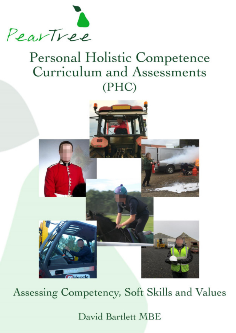

# Personal Holistic Competence Curriculum and Assessments  $(PHC)$



Assessing Competency, Soft Skills and Values

David Bartlett MBE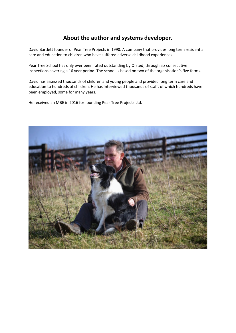### **About the author and systems developer.**

David Bartlett founder of Pear Tree Projects in 1990. A company that provides long term residential care and education to children who have suffered adverse childhood experiences.

Pear Tree School has only ever been rated outstanding by Ofsted, through six consecutive inspections covering a 16 year period. The school is based on two of the organisation's five farms.

David has assessed thousands of children and young people and provided long term care and education to hundreds of children. He has interviewed thousands of staff, of which hundreds have been employed, some for many years.

He received an MBE in 2016 for founding Pear Tree Projects Ltd.

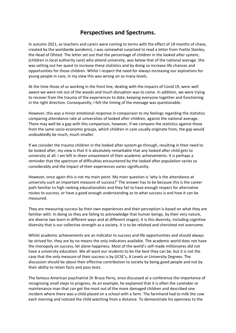### **Perspectives and Spectrums.**

In autumn 2021, as teachers and carers were coming to terms with the effect of 18 months of chaos, created by the worldwide pandemic, I was somewhat surprised to read a letter from Yvette Stanley, the Head of Ofsted. The letter set out that the percentage of children in the looked after system, (children in local authority care) who attend university, was below that of the national average. She was setting out her quest to increase these statistics and by doing so increase life chances and opportunities for those children. Whilst I respect the need for always increasing our aspirations for young people in care, in my view this was wrong on so many levels.

At the time those of us working in the front line, dealing with the impacts of Covid 19, were well aware we were not out of the woods and much disruption was to come. In addition, we were trying to recover from the trauma of the experiences to date, keeping everyone together and functioning in the right direction. Consequently, I felt the timing of the message was questionable.

However, this was a minor emotional response in comparison to my feelings regarding the statistics comparing attendance rate at universities of looked after children, against the national average. There may well be a gap with this comparison, however, if we compare the statistics against those from the same socio-economic groups, which children in care usually originate from, the gap would undoubtedly be much, much smaller.

If we consider the trauma children in the looked after system go through, resulting in their need to be looked after, my view is that it is absolutely remarkable that any looked after child gets to university at all. I am left in sheer amazement of their academic achievements. It is perhaps a reminder that the spectrum of difficulties encountered by the looked after population varies so considerably and the impact of their experiences varies significantly.

However, once again this is not my main point. My main question is 'why is the attendance at university such an important measure of success?' The answer has to be because this is the career path familiar to high ranking educationalists and they fail to have enough respect for alternative routes to success, or have a good enough understanding as to what success is and how it can be measured.

They are measuring success by their own experiences and their perception is based on what they are familiar with. In doing so they are failing to acknowledge that human beings, by their very nature, are diverse (we learn in different ways and at different stages). It is this diversity, including cognitive diversity that is our collective strength as a society. It is to be relished and cherished not overcome.

Whilst academic achievements are an indicator to success and life opportunities and should always be strived for, they are by no means the only indicators available. The academic world does not have the monopoly on success, let alone happiness. Most of the world's self-made millionaires did not have a university education. We all want our students to be the best they can be, but it is not the case that the only measure of their success is by GCSE's, A Levels or University Degrees. The discussion should be about their effective contribution to society by being good people and not by their ability to retain facts and pass tests.

The famous American psychiatrist Dr Bruce Perry, once discussed at a conference the importance of recognising small steps to progress. As an example, he explained that it is often the caretaker or maintenance man that can get the most out of the more damaged children and described one incident where there was a child placed on a school with a farm. The farmhand had to milk the cow each morning and noticed the child watching from a distance. To demonstrate his openness to the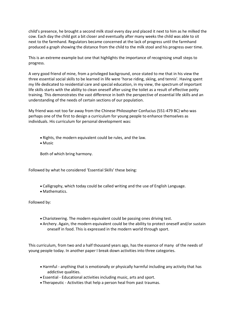child's presence, he brought a second milk stool every day and placed it next to him as he milked the cow. Each day the child got a bit closer and eventually after many weeks the child was able to sit next to the farmhand. Regulators became concerned at the lack of progress until the farmhand produced a graph showing the distance from the child to the milk stool and his progress over time.

This is an extreme example but one that highlights the importance of recognising small steps to progress.

A very good friend of mine, from a privileged background, once stated to me that in his view the three essential social skills to be learned in life were 'horse riding, skiing, and tennis'. Having spent my life dedicated to residential care and special education, in my view, the spectrum of important life skills starts with the ability to clean oneself after using the toilet as a result of effective potty training. This demonstrates the vast difference in both the perspective of essential life skills and an understanding of the needs of certain sections of our population.

My friend was not too far away from the Chinese Philosopher Confucius (551-479 BC) who was perhaps one of the first to design a curriculum for young people to enhance themselves as individuals. His curriculum for personal development was:

- Rights, the modern equivalent could be rules, and the law.
- Music

Both of which bring harmony.

Followed by what he considered 'Essential Skills' these being:

- Calligraphy, which today could be called writing and the use of English Language.
- Mathematics.

Followed by:

- Charioteering. The modern equivalent could be passing ones driving test.
- Archery. Again, the modern equivalent could be the ability to protect oneself and/or sustain oneself in food. This is expressed in the modern world through sport.

This curriculum, from two and a half thousand years ago, has the essence of many of the needs of young people today. In another paper I break down activities into three categories.

- Harmful anything that is emotionally or physically harmful including any activity that has addictive qualities.
- Essential Educational activities including music, arts and sport.
- Therapeutic Activities that help a person heal from past traumas.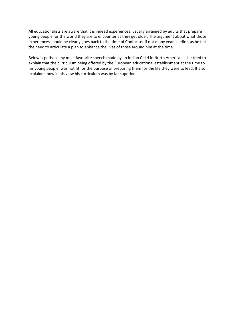All educationalists are aware that it is indeed experiences, usually arranged by adults that prepare young people for the world they are to encounter as they get older. The argument about what those experiences should be clearly goes back to the time of Confucius, if not many years earlier, as he felt the need to articulate a plan to enhance the lives of those around him at the time.

Below is perhaps my most favourite speech made by an Indian Chief in North America, as he tried to explain that the curriculum being offered by the European educational establishment at the time to his young people, was not fit for the purpose of preparing them for the life they were to lead. It also explained how in his view his curriculum was by far superior.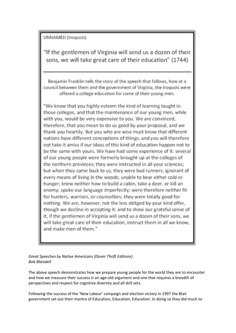### **UNNAMED** (Iroquois)

"If the gentlemen of Virginia will send us a dozen of their sons, we will take great care of their education" (1744)

Benjamin Franklin tells the story of the speech that follows, how at a council between them and the government of Virginia, the Iroquois were offered a college education for some of their young men.

"We know that you highly esteem the kind of learning taught in those colleges, and that the maintenance of our young men, while with you, would be very expensive to you. We are convinced, therefore, that you mean to do us good by your proposal, and we thank you heartily. But you who are wise must know that different nations have different conceptions of things; and you will therefore not take it amiss if our ideas of this kind of education happen not to be the same with yours. We have had some experience of it: several of our young people were formerly brought up at the colleges of the northern provinces; they were instructed in all your sciences; but when they came back to us, they were bad runners; ignorant of every means of living in the woods; unable to bear either cold or hunger; knew neither how to build a cabin, take a deer, or kill an enemy; spoke our language imperfectly; were therefore neither fit for hunters, warriors, or counsellors; they were totally good for nothing. We are, however, not the less obliged by your kind offer, though we decline in accepting it: and to show our grateful sense of it, if the gentlemen of Virginia will send us a dozen of their sons, we will take great care of their education, instruct them in all we know, and make men of them."

*Great Speeches by Native Americans (Dover Thrift Editions) Bob Blaisdell* 

The above speech demonstrates how we prepare young people for the world they are to encounter and how we measure their success is an age-old argument and one that requires a breadth of perspectives and respect for cognitive diversity and all skill sets.

Following the success of the 'New Labour' campaign and election victory in 1997 the Blair government set out their mantra of Education, Education, Education. In doing so they did much to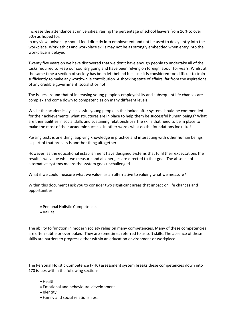increase the attendance at universities, raising the percentage of school leavers from 16% to over 50% as hoped for.

In my view, university should feed directly into employment and not be used to delay entry into the workplace. Work ethics and workplace skills may not be as strongly embedded when entry into the workplace is delayed.

Twenty five years on we have discovered that we don't have enough people to undertake all of the tasks required to keep our country going and have been relying on foreign labour for years. Whilst at the same time a section of society has been left behind because it is considered too difficult to train sufficiently to make any worthwhile contribution. A shocking state of affairs, far from the aspirations of any credible government, socialist or not.

The issues around that of increasing young people's employability and subsequent life chances are complex and come down to competencies on many different levels.

Whilst the academically successful young people in the looked after system should be commended for their achievements, what structures are in place to help them be successful human beings? What are their abilities in social skills and sustaining relationships? The skills that need to be in place to make the most of their academic success. In other words what do the foundations look like?

Passing tests is one thing, applying knowledge in practice and interacting with other human beings as part of that process is another thing altogether.

However, as the educational establishment have designed systems that fulfil their expectations the result is we value what we measure and all energies are directed to that goal. The absence of alternative systems means the system goes unchallenged.

What if we could measure what we value, as an alternative to valuing what we measure?

Within this document I ask you to consider two significant areas that impact on life chances and opportunities.

- Personal Holistic Competence.
- Values.

The ability to function in modern society relies on many competencies. Many of these competencies are often subtle or overlooked. They are sometimes referred to as soft skills. The absence of these skills are barriers to progress either within an education environment or workplace.

The Personal Holistic Competence (PHC) assessment system breaks these competencies down into 170 issues within the following sections.

- Health.
- Emotional and behavioural development.
- Identity.
- Family and social relationships.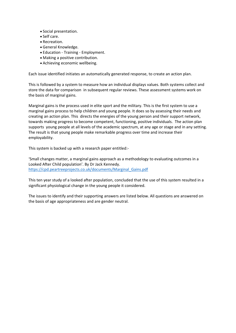- Social presentation.
- Self care.
- Recreation.
- General Knowledge.
- Education Training Employment.
- Making a positive contribution.
- Achieving economic wellbeing.

Each issue identified initiates an automatically generated response, to create an action plan.

This is followed by a system to measure how an individual displays values. Both systems collect and store the data for comparison in subsequent regular reviews. These assessment systems work on the basis of marginal gains.

Marginal gains is the process used in elite sport and the military. This is the first system to use a marginal gains process to help children and young people. It does so by assessing their needs and creating an action plan. This directs the energies of the young person and their support network, towards making progress to become competent, functioning, positive individuals. The action plan supports young people at all levels of the academic spectrum, at any age or stage and in any setting. The result is that young people make remarkable progress over time and increase their employability.

This system is backed up with a research paper entitled:-

'Small changes matter, a marginal gains approach as a methodology to evaluating outcomes in a Looked After Child population'. By Dr Jack Kennedy. [https://cpd.peartreeprojects.co.uk/documents/Marginal\\_Gains.pdf](https://cpd.peartreeprojects.co.uk/documents/Marginal_Gains.pdf) 

This ten year study of a looked after population, concluded that the use of this system resulted in a significant physiological change in the young people it considered.

The issues to identify and their supporting answers are listed below. All questions are answered on the basis of age appropriateness and are gender neutral.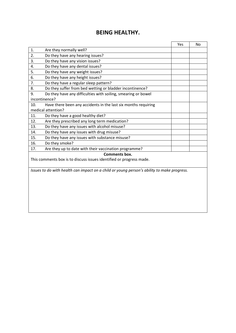### **BEING HEALTHY.**

|     |                                                                                            | Yes | No |
|-----|--------------------------------------------------------------------------------------------|-----|----|
| 1.  | Are they normally well?                                                                    |     |    |
| 2.  | Do they have any hearing issues?                                                           |     |    |
| 3.  | Do they have any vision issues?                                                            |     |    |
| 4.  | Do they have any dental issues?                                                            |     |    |
| 5.  | Do they have any weight issues?                                                            |     |    |
| 6.  | Do they have any height issues?                                                            |     |    |
| 7.  | Do they have a regular sleep pattern?                                                      |     |    |
| 8.  | Do they suffer from bed wetting or bladder incontinence?                                   |     |    |
| 9.  | Do they have any difficulties with soiling, smearing or bowel                              |     |    |
|     | incontinence?                                                                              |     |    |
| 10. | Have there been any accidents in the last six months requiring                             |     |    |
|     | medical attention?                                                                         |     |    |
| 11. | Do they have a good healthy diet?                                                          |     |    |
| 12. | Are they prescribed any long term medication?                                              |     |    |
| 13. | Do they have any issues with alcohol misuse?                                               |     |    |
| 14. | Do they have any issues with drug misuse?                                                  |     |    |
| 15. | Do they have any issues with substance misuse?                                             |     |    |
| 16. | Do they smoke?                                                                             |     |    |
| 17. | Are they up to date with their vaccination programme?                                      |     |    |
|     | Comments box.                                                                              |     |    |
|     | This comments box is to discuss issues identified or progress made.                        |     |    |
|     |                                                                                            |     |    |
|     | Issues to do with health can impact on a child or young person's ability to make progress. |     |    |
|     |                                                                                            |     |    |
|     |                                                                                            |     |    |
|     |                                                                                            |     |    |
|     |                                                                                            |     |    |
|     |                                                                                            |     |    |
|     |                                                                                            |     |    |
|     |                                                                                            |     |    |
|     |                                                                                            |     |    |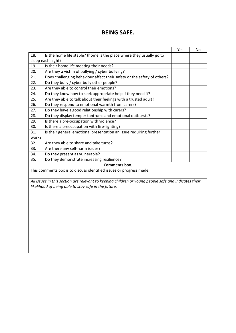### **BEING SAFE.**

|       |                                                                         | Yes | No. |
|-------|-------------------------------------------------------------------------|-----|-----|
| 18.   | Is the home life stable? (home is the place where they usually go to    |     |     |
|       | sleep each night)                                                       |     |     |
| 19.   | Is their home life meeting their needs?                                 |     |     |
| 20.   | Are they a victim of bullying / cyber bullying?                         |     |     |
| 21.   | Does challenging behaviour affect their safety or the safety of others? |     |     |
| 22.   | Do they bully / cyber bully other people?                               |     |     |
| 23.   | Are they able to control their emotions?                                |     |     |
| 24.   | Do they know how to seek appropriate help if they need it?              |     |     |
| 25.   | Are they able to talk about their feelings with a trusted adult?        |     |     |
| 26.   | Do they respond to emotional warmth from carers?                        |     |     |
| 27.   | Do they have a good relationship with carers?                           |     |     |
| 28.   | Do they display temper tantrums and emotional outbursts?                |     |     |
| 29.   | Is there a pre-occupation with violence?                                |     |     |
| 30.   | Is there a preoccupation with fire-lighting?                            |     |     |
| 31.   | Is their general emotional presentation an issue requiring further      |     |     |
| work? |                                                                         |     |     |
| 32.   | Are they able to share and take turns?                                  |     |     |
| 33.   | Are there any self-harm issues?                                         |     |     |
| 34.   | Do they present as vulnerable?                                          |     |     |
| 35.   | Do they demonstrate increasing resilience?                              |     |     |
|       |                                                                         |     |     |

**Comments box.** 

This comments box is to discuss identified issues or progress made.

*All issues in this section are relevant to keeping children or young people safe and indicates their likelihood of being able to stay safe in the future.*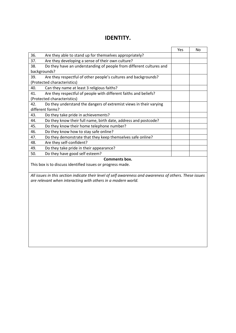### **IDENTITY.**

|                  |                                                                     | Yes | No |
|------------------|---------------------------------------------------------------------|-----|----|
| 36.              | Are they able to stand up for themselves appropriately?             |     |    |
| 37.              | Are they developing a sense of their own culture?                   |     |    |
| 38.              | Do they have an understanding of people from different cultures and |     |    |
|                  | backgrounds?                                                        |     |    |
| 39.              | Are they respectful of other people's cultures and backgrounds?     |     |    |
|                  | (Protected characteristics)                                         |     |    |
| 40.              | Can they name at least 3 religious faiths?                          |     |    |
| 41.              | Are they respectful of people with different faiths and beliefs?    |     |    |
|                  | (Protected characteristics)                                         |     |    |
| 42.              | Do they understand the dangers of extremist views in their varying  |     |    |
| different forms? |                                                                     |     |    |
| 43.              | Do they take pride in achievements?                                 |     |    |
| 44.              | Do they know their full name, birth date, address and postcode?     |     |    |
| 45.              | Do they know their home telephone number?                           |     |    |
| 46.              | Do they know how to stay safe online?                               |     |    |
| 47.              | Do they demonstrate that they keep themselves safe online?          |     |    |
| 48.              | Are they self-confident?                                            |     |    |
| 49.              | Do they take pride in their appearance?                             |     |    |
| 50.              | Do they have good self esteem?                                      |     |    |
|                  | Comments box.                                                       |     |    |
|                  | This box is to discuss identified issues or progress made.          |     |    |

*All issues in this section indicate their level of self awareness and awareness of others. These issues are relevant when interacting with others in a modern world.*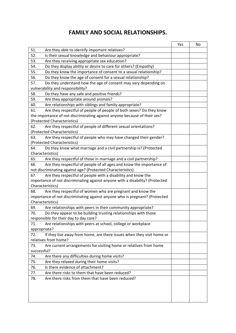### **FAMILY AND SOCIAL RELATIONSHIPS.**

|                                                                                     | Yes | No |
|-------------------------------------------------------------------------------------|-----|----|
| 51.<br>Are they able to identify important relatives?                               |     |    |
| 52.<br>Is their sexual knowledge and behaviour appropriate?                         |     |    |
| Are they receiving appropriate sex education?<br>53.                                |     |    |
| Do they display ability or desire to care for others? (Empathy)<br>54.              |     |    |
| Do they know the importance of consent to a sexual relationship?<br>55.             |     |    |
| 56.<br>Do they know the age of consent for a sexual relationship?                   |     |    |
| Do they understand how the age of consent may vary depending on<br>57.              |     |    |
| vulnerability and responsibility?                                                   |     |    |
| Do they have any safe and positive friends?<br>58.                                  |     |    |
| 59.<br>Are they appropriate around animals?                                         |     |    |
| Are relationships with siblings and family appropriate?<br>60.                      |     |    |
| Are they respectful of people of people of both sexes? Do they know<br>61.          |     |    |
| the importance of not discriminating against anyone because of their sex?           |     |    |
| (Protected Characteristics)                                                         |     |    |
| Are they respectful of people of different sexual orientations?<br>62.              |     |    |
| (Protected Characteristics)                                                         |     |    |
| Are they respectful of people who may have changed their gender?<br>63.             |     |    |
| (Protected Characteristics)                                                         |     |    |
| 64.<br>Do they know what marriage and a civil partnership is? (Protected            |     |    |
| Characteristics)                                                                    |     |    |
| 65.<br>Are they respectful of those in marriage and a civil partnership?            |     |    |
| Are they respectful of people of all ages and know the importance of<br>66.         |     |    |
| not discriminating against age? (Protected Characteristics)                         |     |    |
| Are they respectful of people with a disability and know the<br>67.                 |     |    |
| importance of not discriminating against anyone with a disability? (Protected       |     |    |
| Characteristics)                                                                    |     |    |
| Are they respectful of women who are pregnant and know the<br>68.                   |     |    |
| importance of not discriminating against anyone who is pregnant? (Protected         |     |    |
| Characteristics)                                                                    |     |    |
| 69.<br>Are relationships with peers in their community appropriate?                 |     |    |
| Do they appear to be building trusting relationships with those<br>70.              |     |    |
| responsible for their day to day care?                                              |     |    |
| Are relationships with peers at school, college or workplace<br>71.<br>appropriate? |     |    |
| If they live away from home, are there issues when they visit home or<br>72.        |     |    |
| relatives from home?                                                                |     |    |
| Are current arrangements for visiting home or relatives from home<br>73.            |     |    |
| successful?                                                                         |     |    |
| Are there any difficulties during home visits?<br>74.                               |     |    |
| 75.<br>Are they relaxed during their home visits?                                   |     |    |
| 76.<br>Is there evidence of attachment?                                             |     |    |
| Are there risks to them that have been reduced?<br>77.                              |     |    |
| Are there risks from them that have been reduced?<br>78.                            |     |    |
|                                                                                     |     |    |
|                                                                                     |     |    |
|                                                                                     |     |    |
|                                                                                     |     |    |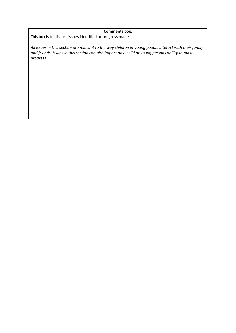#### **Comments box.**

This box is to discuss issues identified or progress made.

*All issues in this section are relevant to the way children or young people interact with their family and friends. Issues in this section can also impact on a child or young persons ability to make progress.*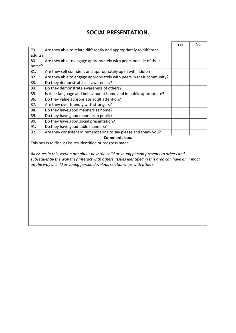### **SOCIAL PRESENTATION.**

|                                                                                                   | Yes | No |
|---------------------------------------------------------------------------------------------------|-----|----|
| Are they able to relate differently and appropriately to different<br>79.                         |     |    |
| adults?                                                                                           |     |    |
| 80.<br>Are they able to engage appropriately with peers outside of their                          |     |    |
| home?                                                                                             |     |    |
| Are they self confident and appropriately open with adults?<br>81.                                |     |    |
| Are they able to engage appropriately with peers in their community?<br>82.                       |     |    |
| Do they demonstrate self-awareness?<br>83.                                                        |     |    |
| Do they demonstrate awareness of others?<br>84.                                                   |     |    |
| 85.<br>Is their language and behaviour at home and in public appropriate?                         |     |    |
| 86.<br>Do they value appropriate adult attention?                                                 |     |    |
| Are they over friendly with strangers?<br>87.                                                     |     |    |
| Do they have good manners at home?<br>88.                                                         |     |    |
| Do they have good manners in public?<br>89.                                                       |     |    |
| Do they have good social presentation?<br>90.                                                     |     |    |
| Do they have good table manners?<br>91.                                                           |     |    |
| Are they consistent in remembering to say please and thank you?<br>92.                            |     |    |
| Comments box.                                                                                     |     |    |
| This box is to discuss issues identified or progress made.                                        |     |    |
|                                                                                                   |     |    |
| All issues in this section are about how the child or young person presents to others and         |     |    |
| subsequently the way they interact with others. Issues identified in this area can have an impact |     |    |
| on the way a child or young person develops relationships with others.                            |     |    |
|                                                                                                   |     |    |
|                                                                                                   |     |    |
|                                                                                                   |     |    |
|                                                                                                   |     |    |
|                                                                                                   |     |    |
|                                                                                                   |     |    |
|                                                                                                   |     |    |
|                                                                                                   |     |    |
|                                                                                                   |     |    |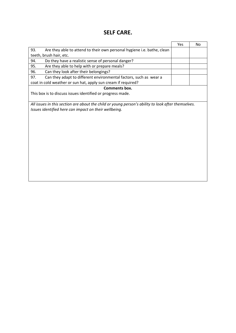### **SELF CARE.**

|                                                                                                    | Yes | No |
|----------------------------------------------------------------------------------------------------|-----|----|
| 93.<br>Are they able to attend to their own personal hygiene i.e. bathe, clean                     |     |    |
| teeth, brush hair, etc.                                                                            |     |    |
| 94.<br>Do they have a realistic sense of personal danger?                                          |     |    |
| Are they able to help with or prepare meals?<br>95.                                                |     |    |
| Can they look after their belongings?<br>96.                                                       |     |    |
| Can they adapt to different environmental factors, such as wear a<br>97.                           |     |    |
| coat in cold weather or sun hat, apply sun cream if required?                                      |     |    |
| Comments box.                                                                                      |     |    |
| This box is to discuss issues identified or progress made.                                         |     |    |
|                                                                                                    |     |    |
| All issues in this section are about the child or young person's ability to look after themselves. |     |    |
| Issues identified here can impact on their wellbeing.                                              |     |    |
|                                                                                                    |     |    |
|                                                                                                    |     |    |
|                                                                                                    |     |    |
|                                                                                                    |     |    |
|                                                                                                    |     |    |
|                                                                                                    |     |    |
|                                                                                                    |     |    |
|                                                                                                    |     |    |
|                                                                                                    |     |    |
|                                                                                                    |     |    |
|                                                                                                    |     |    |
|                                                                                                    |     |    |
|                                                                                                    |     |    |
|                                                                                                    |     |    |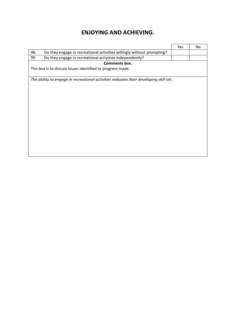### **ENJOYING AND ACHIEVING.**

|                                                                                        | Yes | No |
|----------------------------------------------------------------------------------------|-----|----|
| 98.<br>Do they engage in recreational activities willingly without prompting?          |     |    |
| Do they engage in recreational activities independently?<br>99.                        |     |    |
| Comments box.                                                                          |     |    |
| This box is to discuss issues identified or progress made.                             |     |    |
|                                                                                        |     |    |
| The ability to engage in recreational activities indicates their developing skill set. |     |    |
|                                                                                        |     |    |
|                                                                                        |     |    |
|                                                                                        |     |    |
|                                                                                        |     |    |
|                                                                                        |     |    |
|                                                                                        |     |    |
|                                                                                        |     |    |
|                                                                                        |     |    |
|                                                                                        |     |    |
|                                                                                        |     |    |
|                                                                                        |     |    |
|                                                                                        |     |    |
|                                                                                        |     |    |
|                                                                                        |     |    |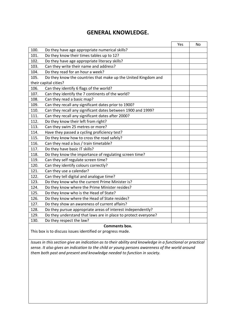### **GENERAL KNOWLEDGE.**

|      |                                                                | Yes | No |
|------|----------------------------------------------------------------|-----|----|
| 100. | Do they have age appropriate numerical skills?                 |     |    |
| 101. | Do they know their times tables up to 12?                      |     |    |
| 102. | Do they have age appropriate literacy skills?                  |     |    |
| 103. | Can they write their name and address?                         |     |    |
| 104. | Do they read for an hour a week?                               |     |    |
| 105. | Do they know the countries that make up the United Kingdom and |     |    |
|      | their capital cities?                                          |     |    |
| 106. | Can they identify 6 flags of the world?                        |     |    |
| 107. | Can they identify the 7 continents of the world?               |     |    |
| 108. | Can they read a basic map?                                     |     |    |
| 109. | Can they recall any significant dates prior to 1900?           |     |    |
| 110. | Can they recall any significant dates between 1900 and 1999?   |     |    |
| 111. | Can they recall any significant dates after 2000?              |     |    |
| 112. | Do they know their left from right?                            |     |    |
| 113. | Can they swim 25 metres or more?                               |     |    |
| 114. | Have they passed a cycling proficiency test?                   |     |    |
| 115. | Do they know how to cross the road safely?                     |     |    |
| 116. | Can they read a bus / train timetable?                         |     |    |
| 117. | Do they have basic IT skills?                                  |     |    |
| 118. | Do they know the importance of regulating screen time?         |     |    |
| 119. | Can they self regulate screen time?                            |     |    |
| 120. | Can they identify colours correctly?                           |     |    |
| 121. | Can they use a calendar?                                       |     |    |
| 122. | Can they tell digital and analogue time?                       |     |    |
| 123. | Do they know who the current Prime Minister is?                |     |    |
| 124. | Do they know where the Prime Minister resides?                 |     |    |
| 125. | Do they know who is the Head of State?                         |     |    |
| 126. | Do they know where the Head of State resides?                  |     |    |
| 127. | Do they show an awareness of current affairs?                  |     |    |
| 128. | Do they pursue appropriate areas of interest independently?    |     |    |
| 129. | Do they understand that laws are in place to protect everyone? |     |    |
| 130. | Do they respect the law?                                       |     |    |

**Comments box.** 

This box is to discuss issues identified or progress made.

*Issues in this section give an indication as to their ability and knowledge in a functional or practical sense. It also gives an indication to the child or young persons awareness of the world around them both past and present and knowledge needed to function in society.*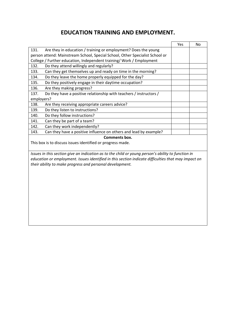### **EDUCATION TRAINING AND EMPLOYMENT.**

|                                                                                                                                                                                                                                                                       | Yes | No |
|-----------------------------------------------------------------------------------------------------------------------------------------------------------------------------------------------------------------------------------------------------------------------|-----|----|
| Are they in education / training or employment? Does the young<br>131.                                                                                                                                                                                                |     |    |
| person attend: Mainstream School, Special School, Other Specialist School or                                                                                                                                                                                          |     |    |
| College / Further education, Independent training/ Work / Employment                                                                                                                                                                                                  |     |    |
| Do they attend willingly and regularly?<br>132.                                                                                                                                                                                                                       |     |    |
| Can they get themselves up and ready on time in the morning?<br>133.                                                                                                                                                                                                  |     |    |
| 134.<br>Do they leave the home properly equipped for the day?                                                                                                                                                                                                         |     |    |
| 135.<br>Do they positively engage in their daytime occupation?                                                                                                                                                                                                        |     |    |
| 136.<br>Are they making progress?                                                                                                                                                                                                                                     |     |    |
| Do they have a positive relationship with teachers / instructors /<br>137.                                                                                                                                                                                            |     |    |
| employers?                                                                                                                                                                                                                                                            |     |    |
| Are they receiving appropriate careers advice?<br>138.                                                                                                                                                                                                                |     |    |
| 139.<br>Do they listen to instructions?                                                                                                                                                                                                                               |     |    |
| 140.<br>Do they follow instructions?                                                                                                                                                                                                                                  |     |    |
| 141.<br>Can they be part of a team?                                                                                                                                                                                                                                   |     |    |
| 142.<br>Can they work independently?                                                                                                                                                                                                                                  |     |    |
| Can they have a positive influence on others and lead by example?<br>143.                                                                                                                                                                                             |     |    |
| <b>Comments box.</b>                                                                                                                                                                                                                                                  |     |    |
| This box is to discuss issues identified or progress made.                                                                                                                                                                                                            |     |    |
| Issues in this section give an indication as to the child or young person's ability to function in<br>education or employment. Issues identified in this section indicate difficulties that may impact on<br>their ability to make progress and personal development. |     |    |
|                                                                                                                                                                                                                                                                       |     |    |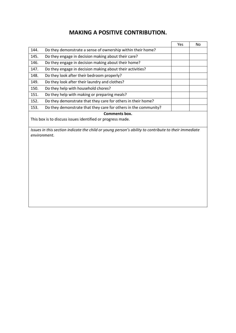### **MAKING A POSITIVE CONTRIBUTION.**

|      |                                                                 | Yes | No |
|------|-----------------------------------------------------------------|-----|----|
| 144. | Do they demonstrate a sense of ownership within their home?     |     |    |
| 145. | Do they engage in decision making about their care?             |     |    |
| 146. | Do they engage in decision making about their home?             |     |    |
| 147. | Do they engage in decision making about their activities?       |     |    |
| 148. | Do they look after their bedroom properly?                      |     |    |
| 149. | Do they look after their laundry and clothes?                   |     |    |
| 150. | Do they help with household chores?                             |     |    |
| 151. | Do they help with making or preparing meals?                    |     |    |
| 152. | Do they demonstrate that they care for others in their home?    |     |    |
| 153. | Do they demonstrate that they care for others in the community? |     |    |
|      | Comments box.                                                   |     |    |

This box is to discuss issues identified or progress made.

*Issues in this section indicate the child or young person's ability to contribute to their immediate environment.*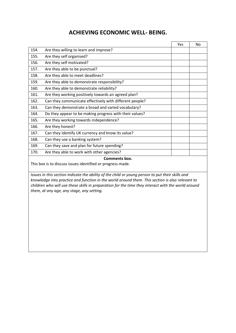### **ACHIEVING ECONOMIC WELL- BEING.**

|                                                                             |                                                                                                  | Yes | No |  |  |  |
|-----------------------------------------------------------------------------|--------------------------------------------------------------------------------------------------|-----|----|--|--|--|
| 154.                                                                        | Are they willing to learn and improve?                                                           |     |    |  |  |  |
| 155.                                                                        | Are they self organised?                                                                         |     |    |  |  |  |
| 156.                                                                        | Are they self motivated?                                                                         |     |    |  |  |  |
| 157.                                                                        | Are they able to be punctual?                                                                    |     |    |  |  |  |
| 158.                                                                        | Are they able to meet deadlines?                                                                 |     |    |  |  |  |
| 159.                                                                        | Are they able to demonstrate responsibility?                                                     |     |    |  |  |  |
| 160.                                                                        | Are they able to demonstrate reliability?                                                        |     |    |  |  |  |
| 161.                                                                        | Are they working positively towards an agreed plan?                                              |     |    |  |  |  |
| 162.                                                                        | Can they communicate effectively with different people?                                          |     |    |  |  |  |
| 163.                                                                        | Can they demonstrate a broad and varied vocabulary?                                              |     |    |  |  |  |
| 164.                                                                        | Do they appear to be making progress with their values?                                          |     |    |  |  |  |
| 165.                                                                        | Are they working towards independence?                                                           |     |    |  |  |  |
| 166.                                                                        | Are they honest?                                                                                 |     |    |  |  |  |
| 167.                                                                        | Can they identify UK currency and know its value?                                                |     |    |  |  |  |
| 168.                                                                        | Can they use a banking system?                                                                   |     |    |  |  |  |
| 169.                                                                        | Can they save and plan for future spending?                                                      |     |    |  |  |  |
| 170.                                                                        | Are they able to work with other agencies?                                                       |     |    |  |  |  |
| Comments box.<br>This box is to discuss issues identified or progress made. |                                                                                                  |     |    |  |  |  |
|                                                                             |                                                                                                  |     |    |  |  |  |
|                                                                             | Issues in this section indicate the ability of the child or young person to put their skills and |     |    |  |  |  |

*Issues in this section indicate the ability of the child or young person to put their skills and knowledge into practice and function in the world around them. This section is also relevant to children who will use these skills in preparation for the time they interact with the world around them, at any age, any stage, any setting.*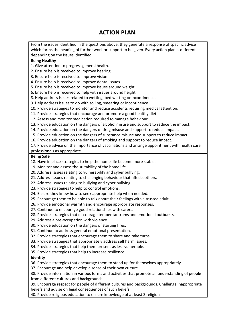### **ACTION PLAN.**

From the issues identified in the questions above, they generate a response of specific advice which forms the heading of further work or support to be given. Every action plan is different depending on the issues identified.

#### **Being Healthy**

1. Give attention to progress general health.

2. Ensure help is received to improve hearing.

3. Ensure help is received to improve vision.

4. Ensure help is received to improve dental issues.

5. Ensure help is received to improve issues around weight.

6. Ensure help is received to help with issues around height.

8. Help address issues related to wetting, bed wetting or incontinence.

9. Help address issues to do with soiling, smearing or incontinence.

10. Provide strategies to monitor and reduce accidents requiring medical attention.

11. Provide strategies that encourage and promote a good healthy diet.

12. Assess and monitor medication required to manage behaviour.

13. Provide education on the dangers of alcohol misuse and support to reduce the impact.

14. Provide education on the dangers of drug misuse and support to reduce impact.

15. Provide education on the dangers of substance misuse and support to reduce impact.

16. Provide education on the dangers of smoking and support to reduce impact.

17. Provide advice on the importance of vaccinations and arrange appointment with health care

professionals as appropriate.

#### **Being Safe**

18. Have in place strategies to help the home life become more stable.

19. Monitor and assess the suitability of the home life.

20. Address issues relating to vulnerability and cyber bullying.

21. Address issues relating to challenging behaviour that affects others.

22. Address issues relating to bullying and cyber bullying.

23. Provide strategies to help to control emotions.

24. Ensure they know how to seek appropriate help when needed.

25. Encourage them to be able to talk about their feelings with a trusted adult.

26. Provide emotional warmth and encourage appropriate responses.

27. Continue to encourage good relationships with carers.

28. Provide strategies that discourage temper tantrums and emotional outbursts.

29. Address a pre-occupation with violence.

30. Provide education on the dangers of starting fires.

31. Continue to address general emotional presentation.

32. Provide strategies that encourage them to share and take turns.

33. Provide strategies that appropriately address self harm issues.

34. Provide strategies that help them present as less vulnerable.

35. Provide strategies that help to increase resilience.

#### **Identity**

36. Provide strategies that encourage them to stand up for themselves appropriately.

37. Encourage and help develop a sense of their own culture.

38. Provide information in various forms and activities that promote an understanding of people from different cultures and backgrounds.

39. Encourage respect for people of different cultures and backgrounds. Challenge inappropriate beliefs and advise on legal consequences of such beliefs.

40. Provide religious education to ensure knowledge of at least 3 religions.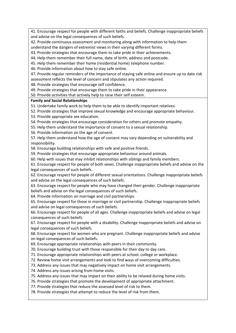41. Encourage respect for people with different faiths and beliefs. Challenge inappropriate beliefs and advise on the legal consequences of such beliefs.

42. Provide continuous assessment and monitoring along with information to help them understand the dangers of extremist views in their varying different forms.

43. Provide strategies that encourage them to take pride in their achievements.

44. Help them remember their full name, date of birth, address and postcode.

45. Help them remember their home (residential home) telephone number.

46. Provide information about how to stay safe online.

47. Provide regular reminders of the importance of staying safe online and ensure up to date risk assessment reflects the level of concern and stipulates any action required.

48. Provide strategies that encourage self confidence.

49. Provide strategies that encourage them to take pride in their appearance.

50. Provide activities that actively help to raise their self esteem.

#### **Family and Social Relationships**

51. Undertake family work to help them to be able to identify important relatives.

52. Provide strategies that improve sexual knowledge and encourage appropriate behaviour.

53. Provide appropriate sex education.

54. Provide strategies that encourage consideration for others and promote empathy.

55. Help them understand the importance of consent to a sexual relationship.

56. Provide information on the age of consent.

57. Help them understand how the age of consent may vary depending on vulnerability and responsibility.

58. Encourage building relationships with safe and positive friends.

59. Provide strategies that encourage appropriate behaviour around animals.

60. Help with issues that may inhibit relationships with siblings and family members.

61. Encourage respect for people of both sexes. Challenge inappropriate beliefs and advise on the legal consequences of such beliefs.

62. Encourage respect for people of different sexual orientations. Challenge inappropriate beliefs and advise on the legal consequences of such beliefs.

63. Encourage respect for people who may have changed their gender. Challenge inappropriate beliefs and advise on the legal consequences of such beliefs.

64. Provide information on marriage and civil partnerships.

65. Encourage respect for those in marriage or civil partnership. Challenge inappropriate beliefs and advise on legal consequences of such beliefs.

66. Encourage respect for people of all ages. Challenge inappropriate beliefs and advise on legal consequences of such beliefs.

67. Encourage respect for people with a disability. Challenge inappropriate beliefs and advise on legal consequences of such beliefs.

68. Encourage respect for women who are pregnant. Challenge inappropriate beliefs and advise on legal consequences of such beliefs.

69. Encourage appropriate relationships with peers in their community.

70. Encourage building trust with those responsible for their day to day care.

71. Encourage appropriate relationships with peers at school, college or workplace.

72. Review home visit arrangements and look to find ways of overcoming difficulties.

73. Address any issues that may negatively impact on home visit arrangements.

74. Address any issues arising from home visits.

75. Address any issues that may impact on their ability to be relaxed during home visits.

76. Provide strategies that promote the development of appropriate attachment.

77. Provide strategies that reduce the assessed level of risk to them.

78. Provide strategies that attempt to reduce the level of risk from them.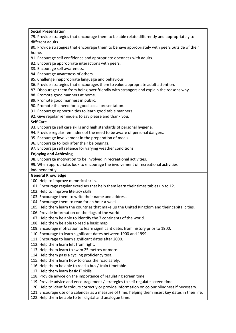#### **Social Presentation**

79. Provide strategies that encourage them to be able relate differently and appropriately to different adults.

80. Provide strategies that encourage them to behave appropriately with peers outside of their home.

- 81. Encourage self confidence and appropriate openness with adults.
- 82. Encourage appropriate interactions with peers.
- 83. Encourage self awareness.
- 84. Encourage awareness of others.
- 85. Challenge inappropriate language and behaviour.
- 86. Provide strategies that encourages them to value appropriate adult attention.
- 87. Discourage them from being over friendly with strangers and explain the reasons why.
- 88. Promote good manners at home.
- 89. Promote good manners in public.
- 90. Promote the need for a good social presentation.
- 91. Encourage opportunities to learn good table manners.
- 92. Give regular reminders to say please and thank you.

#### **Self Care**

- 93. Encourage self care skills and high standards of personal hygiene.
- 94. Provide regular reminders of the need to be aware of personal dangers.
- 95. Encourage involvement in the preparation of meals.
- 96. Encourage to look after their belongings.
- 97. Encourage self reliance for varying weather conditions.

#### **Enjoying and Achieving**

- 98. Encourage motivation to be involved in recreational activities.
- 99. When appropriate, look to encourage the involvement of recreational activities

#### independently.

#### **General Knowledge**

- 100. Help to improve numerical skills.
- 101. Encourage regular exercises that help them learn their times tables up to 12.
- 102. Help to improve literacy skills.
- 103. Encourage them to write their name and address.
- 104. Encourage them to read for an hour a week.
- 105. Help them learn the countries that make up the United Kingdom and their capital cities.
- 106. Provide information on the flags of the world.
- 107. Help them be able to identify the 7 continents of the world.
- 108. Help them be able to read a basic map.
- 109. Encourage motivation to learn significant dates from history prior to 1900.
- 110. Encourage to learn significant dates between 1900 and 1999.
- 111. Encourage to learn significant dates after 2000.
- 112. Help them learn left from right.
- 113. Help them learn to swim 25 metres or more.
- 114. Help them pass a cycling proficiency test.
- 115. Help them learn how to cross the road safely.
- 116. Help them be able to read a bus / train timetable.
- 117. Help them learn basic IT skills.
- 118. Provide advice on the importance of regulating screen time.
- 119. Provide advice and encouragement / strategies to self regulate screen time.
- 120. Help to identify colours correctly or provide information on colour blindness if necessary.
- 121. Encourage use of a calendar as a measure of time, helping them insert key dates in their life.
- 122. Help them be able to tell digital and analogue time.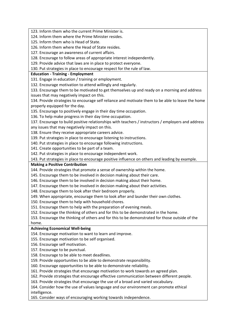123. Inform them who the current Prime Minister is.

124. Inform them where the Prime Minister resides.

125. Inform them who is Head of State.

126. Inform them where the Head of State resides.

127. Encourage an awareness of current affairs.

128. Encourage to follow areas of appropriate interest independently.

129. Provide advice that laws are in place to protect everyone.

130. Put strategies in place to encourage respect for the rule of law.

#### **Education - Training - Employment**

131. Engage in education / training or employment.

132. Encourage motivation to attend willingly and regularly.

133. Encourage them to be motivated to get themselves up and ready on a morning and address issues that may negatively impact on this.

134. Provide strategies to encourage self reliance and motivate them to be able to leave the home properly equipped for the day.

135. Encourage to positively engage in their day time occupation.

136. To help make progress in their day time occupation.

137. Encourage to build positive relationships with teachers / instructors / employers and address any issues that may negatively impact on this.

138. Ensure they receive appropriate careers advice.

139. Put strategies in place to encourage listening to instructions.

140. Put strategies in place to encourage following instructions.

141. Create opportunities to be part of a team.

142. Put strategies in place to encourage independent work.

143. Put strategies in place to encourage positive influence on others and leading by example.

#### **Making a Positive Contribution**

144. Provide strategies that promote a sense of ownership within the home.

145. Encourage them to be involved in decision making about their care.

146. Encourage them to be involved in decision making about their home.

147. Encourage them to be involved in decision making about their activities.

148. Encourage them to look after their bedroom properly.

149. When appropriate, encourage them to look after and launder their own clothes.

150. Encourage them to help with household chores.

151. Encourage them to help with the preparation of evening meals.

152. Encourage the thinking of others and for this to be demonstrated in the home.

153. Encourage the thinking of others and for this to be demonstrated for those outside of the

### home.

**Achieving Economical Well-being** 

154. Encourage motivation to want to learn and improve.

155. Encourage motivation to be self organised.

156. Encourage self motivation.

157. Encourage to be punctual.

158. Encourage to be able to meet deadlines.

159. Provide opportunities to be able to demonstrate responsibility.

160. Encourage opportunities to be able to demonstrate reliability.

161. Provide strategies that encourage motivation to work towards an agreed plan.

162. Provide strategies that encourage effective communication between different people.

163. Provide strategies that encourage the use of a broad and varied vocabulary.

164. Consider how the use of values language and our environment can promote ethical intelligence.

165. Consider ways of encouraging working towards independence.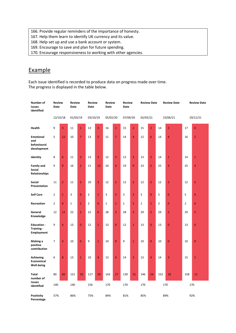166. Provide regular reminders of the importance of honesty.

- 167. Help them learn to identify UK currency and its value.
- 168. Help set up and use a bank account or system.
- 169. Encourage to save and plan for future spending.
- 170. Encourage responsiveness to working with other agencies.

### Example

Each issue identified is recorded to produce data on progress made over time. The progress is displayed in the table below.

| Number of<br>issues<br>identified                          | <b>Review</b><br>Date |                | Review<br><b>Date</b> |                | <b>Review</b><br>Date |                | <b>Review</b><br>Date |                | <b>Review</b><br>Date |                | <b>Review Date</b> |                | <b>Review Date</b> |                | <b>Review Date</b> |                |
|------------------------------------------------------------|-----------------------|----------------|-----------------------|----------------|-----------------------|----------------|-----------------------|----------------|-----------------------|----------------|--------------------|----------------|--------------------|----------------|--------------------|----------------|
|                                                            | 12/10/18              |                | 01/03/19              |                | 03/10/19              |                | 05/02/20              |                | 07/09/20              |                | 02/03/21           |                |                    | 23/06/21       |                    | 29/12/21       |
| Health                                                     | 9                     | 3              | 11                    | $\mathbf{1}$   | 13                    | 3              | 16                    | $\mathbf{1}$   | 15                    | $\overline{2}$ | 15                 | $\overline{2}$ | 14                 | $\overline{3}$ | 17                 | $\mathbf{0}$   |
| <b>Emotional</b><br>and<br>behavioural<br>development      | 5                     | 12             | 10                    | $\overline{7}$ | 13                    | 5              | 11                    | $\overline{7}$ | 14                    | 4              | 12                 | 6              | 14                 | $\overline{4}$ | 16                 | $\overline{2}$ |
| Identity                                                   | 8                     | 6              | 11                    | 3              | 13                    | 3              | 12                    | 3              | 12                    | 3              | 13                 | $\overline{2}$ | 14                 | $\mathbf{1}$   | 14                 | $\mathbf{1}$   |
| <b>Family and</b><br><b>Social</b><br><b>Relationships</b> | 9                     | 9              | 16                    | $\overline{2}$ | 11                    | 12             | 24                    | $\overline{4}$ | 19                    | 9              | 23                 | 5              | 25                 | $\overline{3}$ | 25                 | 3              |
| Social<br>Presentation                                     | 11                    | $\overline{2}$ | 11                    | $\overline{2}$ | 10                    | 3              | 12                    | $\overline{2}$ | 12                    | $\overline{2}$ | 12                 | $\overline{2}$ | 12                 | $\overline{2}$ | 12                 | $\overline{2}$ |
| <b>Self Care</b>                                           | $\overline{2}$        | $\mathbf{1}$   | 3                     | $\overline{0}$ | $\overline{2}$        | $\overline{1}$ | 3                     | $\overline{2}$ | 3                     | $\overline{2}$ | 5                  | $\overline{0}$ | 5                  | $\overline{0}$ | 5                  | $\overline{0}$ |
| Recreation                                                 | $\overline{2}$        | $\mathbf{0}$   | $\mathbf{1}$          | $\mathbf{1}$   | $\overline{2}$        | $\overline{0}$ | $\mathbf 1$           | $\mathbf{1}$   | $\mathbf 1$           | $\mathbf{1}$   | $\mathbf 1$        | $\mathbf{1}$   | $\overline{2}$     | $\overline{0}$ | $\overline{2}$     | $\mathbf 0$    |
| General<br>Knowledge                                       | 12                    | 12             | 22                    | $\overline{2}$ | 22                    | 6              | 28                    | 3              | 28                    | 3              | 29                 | $\overline{2}$ | 29                 | $\overline{2}$ | 29                 | $\overline{2}$ |
| <b>Education -</b><br>Training -<br><b>Employment</b>      | 9                     | $\overline{4}$ | 13                    | $\overline{0}$ | 12                    | $\overline{1}$ | 13                    | $\overline{0}$ | 12                    | $\overline{1}$ | 13                 | $\overline{0}$ | 13                 | $\overline{0}$ | 13                 | $\overline{0}$ |
| Making a<br>positive<br>contribution                       | 7                     | 3              | 10                    | $\mathbf 0$    | 9                     | $\overline{1}$ | 10                    | $\overline{0}$ | 9                     | $\mathbf{1}$   | 10                 | $\overline{0}$ | 10                 | $\overline{0}$ | 10                 | $\mathbf{0}$   |
| <b>Achieving</b><br>Economical<br>Well-being               | 6                     | 8              | 13                    | $\mathbf{1}$   | 10                    | 4              | 13                    | $\overline{4}$ | 14                    | 3              | 13                 | $\overline{4}$ | 14                 | 3              | 15                 | $\overline{2}$ |
| <b>Total</b><br>number of                                  | 80                    | 60             | 121                   | 19             | 117                   | 39             | 143                   | 27             | 139                   | 31             | 146                | 24             | 152                | 18             | 158                | 12             |
| issues<br>identified                                       | 140                   |                | 140                   |                | 156                   |                | 170                   |                | 170                   |                | 170                |                | 170                |                | 170                |                |
| <b>Positivity</b><br>Percentage                            | 57%                   |                | 86%                   |                | 75%                   |                | 84%                   |                | 81%                   |                | 85%                |                |                    | 89%            |                    | 92%            |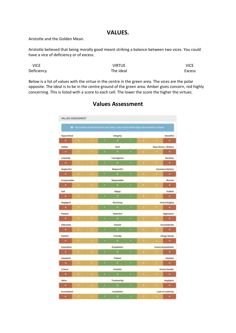#### **VALUES.**

Aristotle and the Golden Mean.

Aristotle believed that being morally good meant striking a balance between two vices. You could have a vice of deficiency or of excess.

| <b>VICE</b> | VIRTUE    | <b>VICE</b>   |
|-------------|-----------|---------------|
| Deficiency  | The ideal | <b>Excess</b> |

Below is a list of values with the virtue in the centre in the green area. The vices are the polar opposite. The ideal is to be in the centre ground of the green area. Amber gives concern, red highly concerning. This is listed with a score to each cell. The lower the score the higher the virtues.

|                  |                         |                    |                               | <sup>0</sup> - Two numbers can be selected for each value. Lower scores inclicate higher demonstration of values. |              |                |               |                           |
|------------------|-------------------------|--------------------|-------------------------------|-------------------------------------------------------------------------------------------------------------------|--------------|----------------|---------------|---------------------------|
| Hypocritical     |                         | <b>Integrity</b>   |                               |                                                                                                                   | Deceitful    |                |               |                           |
| $\bullet$        | $3 - 2$                 |                    | к                             | $\bullet$                                                                                                         | $\mathbf{1}$ |                | $2 - 1 - 1$   | $\blacktriangleleft$      |
| Setfish          |                         |                    | Kind<br>Buys favour / Bribery |                                                                                                                   |              |                |               |                           |
| $\sim$           |                         | $3 - 2$            | т.                            | $\bullet$                                                                                                         | $\mathbf{1}$ | $\mathbf{z}$   | $\mathbf{1}$  | $\sim$ 4.1                |
| Cowardly         |                         |                    |                               | Courageous                                                                                                        |              |                |               | Reckless                  |
| $\sim$           | $\mathbf{a}$            | э.                 | $\mathbb{R}^n$                | <b>CONTRACTOR</b>                                                                                                 | $\mathbf{T}$ | $\mathbf{a}$   | 35            | $-4$                      |
| Neglectful       |                         |                    |                               | Respectful                                                                                                        |              |                |               | <b>Excessive flattery</b> |
|                  | <b>CALL STATE STATE</b> |                    | х.                            | <b>CONTRACTOR</b>                                                                                                 | п.           | 2 <sup>2</sup> | <b>Barnet</b> | $-4$                      |
| Irresponsible    |                         |                    |                               | Responsible                                                                                                       |              |                |               | <b>Worries</b>            |
|                  |                         |                    | $\mathbf{E}$                  | $-0.$                                                                                                             |              |                |               | $\sim$                    |
| Sad              |                         |                    |                               | Happy                                                                                                             |              |                |               | Guillible                 |
| $\sim$           | $\mathbf{a}$            | <b>Participate</b> | r.                            | $-0$                                                                                                              | ×            | э.             | $\mathbf{1}$  | $\left( 4\right)$         |
| Negligent        |                         |                    |                               | Nurturing                                                                                                         |              |                |               | Overindulging             |
| $\sim$           |                         | $3 - 2$            | ×.                            | $\bullet$                                                                                                         | ×.           | $\mathbf{z}$   | $3 -$         | $-4$                      |
| Passive          |                         |                    |                               | Assertive                                                                                                         |              |                |               | Aggressive                |
|                  |                         |                    | $\mathbf{E}$                  | $\bullet$                                                                                                         | $\mathbf{v}$ | 2.             | $\mathbf{I}$  | $\sim$ 4.1                |
| <b>Dishonest</b> |                         |                    | Honest<br>inconsiderate       |                                                                                                                   |              |                |               |                           |
| $\sim$           |                         | $3 - 2$            | х.                            | $\bullet$                                                                                                         | л.           | a.             | $1 -$         | <b>Contract</b>           |
| Hateful          |                         |                    |                               | Friendly                                                                                                          |              |                |               | Clingy, Needy             |
| $\sim$           | $\mathbf{B}$            | ×.                 | r.                            | $\bullet$                                                                                                         | х.           | a.             | 3<            | $-4$                      |
| Insensitive      |                         |                    |                               | Empathetic                                                                                                        |              |                |               | Overly Sympathetic        |
| $\sim$           |                         | $3 - 2$            |                               | $\bullet$                                                                                                         | x.           |                | $17-7$        | $-4$                      |
| Impatient        |                         |                    |                               | <b>Patient</b>                                                                                                    |              |                |               | <b>Hesitant</b>           |
| $\sim$           | o.                      |                    | t.                            | $\alpha$                                                                                                          | ×            | a.             | 11            | $-4$                      |
| Critical         |                         |                    |                               | Grateful                                                                                                          |              |                |               | Overly familiar           |
| $\sim$           | <b>SECTION</b>          | -2                 | t.                            | $\mathbf{0}$                                                                                                      | $\mathbf{r}$ | э.             | 1000          | $\sim$ 40                 |
| Naive            |                         |                    |                               | Trustworthy                                                                                                       |              |                |               | Negligent                 |
|                  | 4.13.732                |                    | $1 -$                         | $\blacksquare$                                                                                                    |              | $2 - 1$        | $3.7-$        | $\sim$ 4.1                |

### **Values Assessment**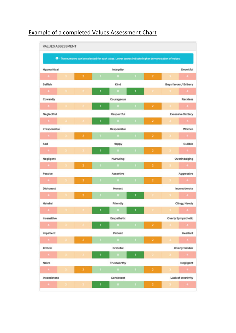|                         |                     |                   |                                  | O - Two numbers can be selected for each value. Lower scores indicate higher demonstration of values. |    |                         |                       |                           |
|-------------------------|---------------------|-------------------|----------------------------------|-------------------------------------------------------------------------------------------------------|----|-------------------------|-----------------------|---------------------------|
| Hypocritical            |                     |                   |                                  | Integrity                                                                                             |    |                         |                       | Deceitful                 |
| 14.1                    |                     | $\overline{z}$    |                                  | $\alpha$                                                                                              | т. | $\overline{2}$          |                       | $-4$                      |
| Selfish                 |                     |                   |                                  | Kind                                                                                                  |    |                         | Buys favour / Bribery |                           |
| $\mathbf{A}=\mathbf{0}$ |                     |                   | 1                                | $\circ$                                                                                               | 1  |                         |                       | $-4$                      |
| Cowardly                |                     |                   |                                  | Courageous                                                                                            |    |                         |                       | <b>Reckless</b>           |
| $\sim$                  |                     |                   | 1                                | $\alpha$ .                                                                                            | п. | $\overline{\mathbf{z}}$ |                       | $\sim$                    |
| Neglectful              |                     |                   |                                  | Respectful                                                                                            |    |                         |                       | <b>Excessive flattery</b> |
| $4 - 3 -$               |                     |                   | 1                                | $\bullet$                                                                                             |    | $\overline{\mathbf{z}}$ |                       | $-4.$                     |
| Irresponsible           |                     |                   |                                  | Responsible                                                                                           |    |                         |                       | <b>Worries</b>            |
| $\sim$                  |                     | 2                 |                                  | $\Omega$                                                                                              | т  | $\overline{\mathbf{z}}$ |                       | $-4-$                     |
| Sad                     |                     | Gullible<br>Happy |                                  |                                                                                                       |    |                         |                       |                           |
| $4 -$                   |                     |                   |                                  | $\bullet$                                                                                             |    | $\overline{\mathbf{z}}$ |                       | $-4 -$                    |
| Negligent               |                     |                   | Nurturing<br>Overindulging       |                                                                                                       |    |                         |                       |                           |
| <b>A</b> 1              |                     | 2                 |                                  | $\alpha$                                                                                              | л. | $\overline{\mathbf{z}}$ |                       | $-4$                      |
| Passive                 |                     |                   |                                  | Assertive                                                                                             |    |                         |                       | Aggressive                |
| <b>ALCOHOL:</b>         |                     | 2                 |                                  | $\sim$ 0                                                                                              | ٠  | $\overline{2}$          |                       | $-4-$                     |
| <b>Dishonest</b>        |                     |                   |                                  | Honest                                                                                                |    |                         |                       | Inconsiderate             |
| $4 -$                   |                     | 2                 |                                  | $\overline{O}$                                                                                        | 1. |                         |                       | $-42$                     |
| Hateful                 |                     |                   |                                  | Friendly                                                                                              |    |                         |                       | Clingy, Needy             |
| $\sim$                  |                     |                   | 1                                | $\bullet$                                                                                             | 1  |                         |                       | $\sim$                    |
| Insensitive             |                     |                   | Empathetic<br>Overly Sympathetic |                                                                                                       |    |                         |                       |                           |
| $\overline{4}$          | $\mathbf{B}$        |                   |                                  | $\bullet$                                                                                             | т  | $\mathbf{2}$            |                       | $-4$                      |
| Impatient               | Patient<br>Hesitant |                   |                                  |                                                                                                       |    |                         |                       |                           |
| $-4 -$                  | з.                  | 2.                |                                  | $\bullet$                                                                                             | ٠  | $\overline{\mathbf{z}}$ |                       | $-4$                      |
| Critical                |                     |                   |                                  | Grateful                                                                                              |    |                         |                       | Overly familiar           |
| $\mathcal{A}$ .         |                     |                   | 1                                | $\bullet$                                                                                             | ı  |                         |                       | $\sim$ 4.                 |
| Naive                   |                     |                   |                                  | Trustworthy                                                                                           |    |                         |                       | Negligent                 |
| $-4$                    |                     | $\mathbf{z}$      | т                                | $\bullet$                                                                                             | T. | $\bar{z}$               |                       | $-4$                      |
| Inconsistent            |                     |                   | Lack of creativity<br>Consistent |                                                                                                       |    |                         |                       |                           |

## Example of a completed Values Assessment Chart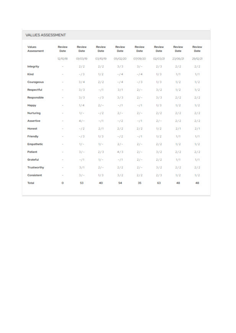| <b>Values</b><br><b>Assessment</b> | Review<br>Date           | Review<br>Date | Review<br>Date | Review<br>Date | Review<br>Date | Review<br>Date | Review<br>Date | Review<br>Date |
|------------------------------------|--------------------------|----------------|----------------|----------------|----------------|----------------|----------------|----------------|
|                                    | 12/10/18                 | 01/03/19       | 03/10/19       | 05/02/20       | 07/09/20       | 02/03/21       | 23/06/21       | 29/12/21       |
| Integrity                          | $\overline{\phantom{a}}$ | 2/2            | 2/2            | 3/3            | $3/ -$         | 2/3            | 2/2            | 2/2            |
| Kind                               | $\sim$                   | $-13$          | 1/2            | $-14$          | $-14$          | 1/3            | 1/1            | 1/1            |
| Courageous                         | $\sim$                   | 3/4            | 2/2            | $-14$          | $-13$          | 1/3            | 1/2            | 1/2            |
| Respectful                         | $\sim$                   | 3/3            | $-/1$          | 3/1            | $21 -$         | 3/2            | 1/2            | 1/2            |
| Responsible                        | $\sim$                   | 3/3            | $-13$          | 3/3            | $21 -$         | 3/3            | 2/2            | 2/2            |
| Happy                              | $\sim$                   | 1/4            | $2/-$          | $-11$          | $-11$          | 1/3            | 1/2            | 1/2            |
| Nurturing                          | $\sim$                   | $1/-$          | $-12$          | $21 -$         | $21 -$         | 2/2            | 2/2            | 2/2            |
| <b>Assertive</b>                   | $\sim$                   | $41 -$         | $-11$          | $-12$          | $-11$          | $21 -$         | 2/2            | 2/2            |
| Honest                             | $\sim$                   | $-12$          | 2/1            | 2/2            | 2/2            | 1/2            | 2/1            | 2/1            |
| Friendly                           | $\sim$                   | $-13$          | 1/3            | $-12$          | $-11$          | 1/2            | 1/1            | 1/1            |
| Empathetic                         | $\sim$                   | $1/-$          | $1/ -$         | $2/ -$         | $2/-$          | 2/2            | 1/2            | 1/2            |
| Patient                            | $\sim$                   | $31 -$         | 2/3            | 4/3            | $21 -$         | 3/2            | 2/2            | 2/2            |
| Grateful                           | $\sim$                   | $-11$          | $1/-$          | $-11$          | $21 -$         | 2/2            | 1/1            | 1/1            |
| Trustworthy                        | $\sim$                   | 3/1            | $21 -$         | 2/2            | $21 -$         | 3/2            | 2/2            | 2/2            |
| Consistent                         | $\sim$                   | $3/-$          | 1/3            | 3/2            | 2/2            | 2/3            | 1/2            | 1/2            |
| Total                              | ٥                        | 53             | 40             | 54             | 35             | 63             | 48             | 48             |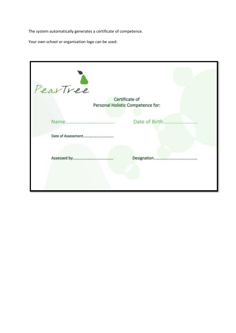The system automatically generates a certificate of competence.

Your own school or organisation logo can be used.

| PearTree                          |                |
|-----------------------------------|----------------|
|                                   | Certificate of |
| Personal Holistic Competence for: |                |
|                                   | Date of Birth. |
|                                   |                |